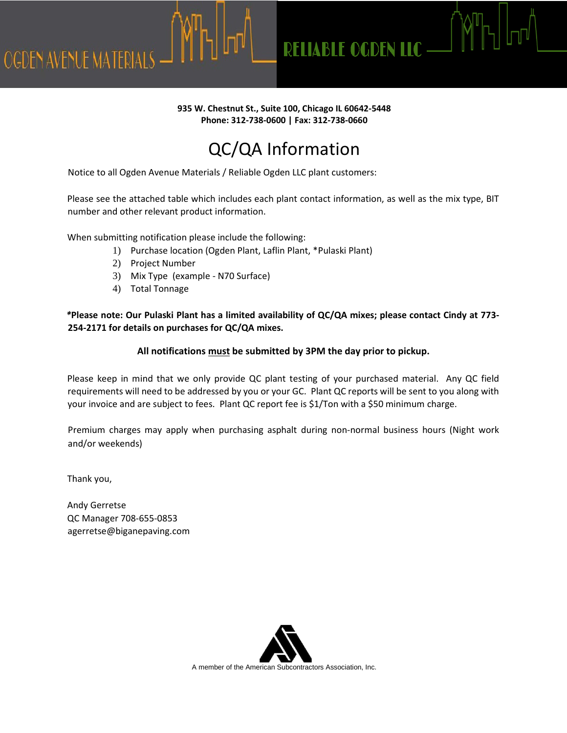**RELIABLE OGDEN LLC -**

#### **935 W. Chestnut St., Suite 100, Chicago IL 60642-5448 Phone: 312-738-0600 | Fax: 312-738-0660**

# QC/QA Information

Notice to all Ogden Avenue Materials / Reliable Ogden LLC plant customers:

Please see the attached table which includes each plant contact information, as well as the mix type, BIT number and other relevant product information.

When submitting notification please include the following:

- 1) Purchase location (Ogden Plant, Laflin Plant, \*Pulaski Plant)
- 2) Project Number
- 3) Mix Type (example N70 Surface)
- 4) Total Tonnage

*\****Please note: Our Pulaski Plant has a limited availability of QC/QA mixes; please contact Cindy at 773- 254-2171 for details on purchases for QC/QA mixes.**

#### **All notifications must be submitted by 3PM the day prior to pickup.**

Please keep in mind that we only provide QC plant testing of your purchased material. Any QC field requirements will need to be addressed by you or your GC. Plant QC reports will be sent to you along with your invoice and are subject to fees. Plant QC report fee is \$1/Ton with a \$50 minimum charge.

Premium charges may apply when purchasing asphalt during non-normal business hours (Night work and/or weekends)

Thank you,

**OGDEN AVENUE MATERIALS** 

Andy Gerretse QC Manager 708-655-0853 agerretse@biganepaving.com